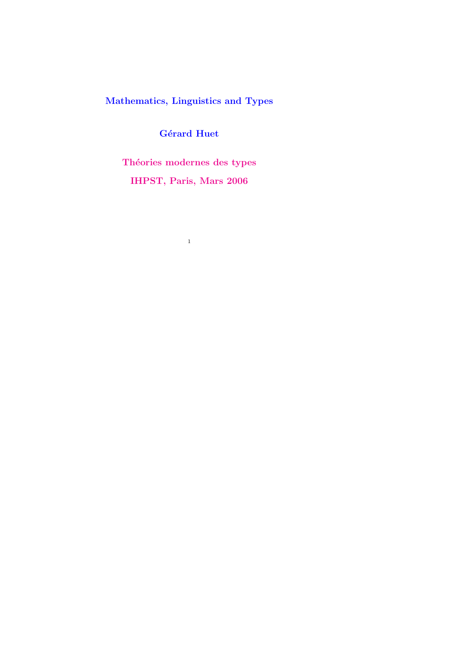Mathematics, Linguistics and Types

Gérard Huet

Théories modernes des types IHPST, Paris, Mars 2006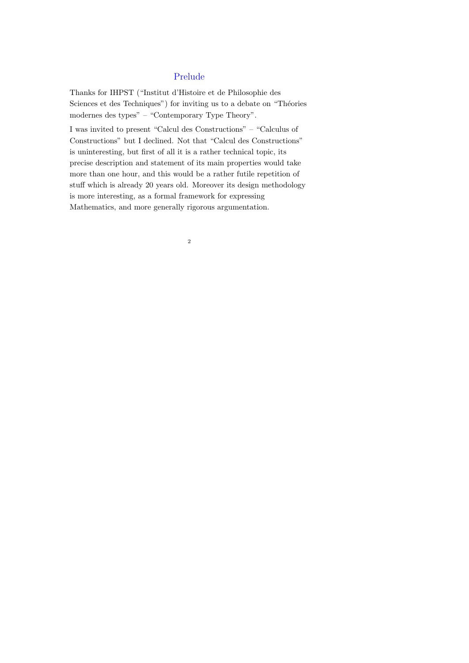### Prelude

Thanks for IHPST ("Institut d'Histoire et de Philosophie des Sciences et des Techniques") for inviting us to a debate on "Théories modernes des types" – "Contemporary Type Theory".

I was invited to present "Calcul des Constructions" – "Calculus of Constructions" but I declined. Not that "Calcul des Constructions" is uninteresting, but first of all it is a rather technical topic, its precise description and statement of its main properties would take more than one hour, and this would be a rather futile repetition of stuff which is already 20 years old. Moreover its design methodology is more interesting, as a formal framework for expressing Mathematics, and more generally rigorous argumentation.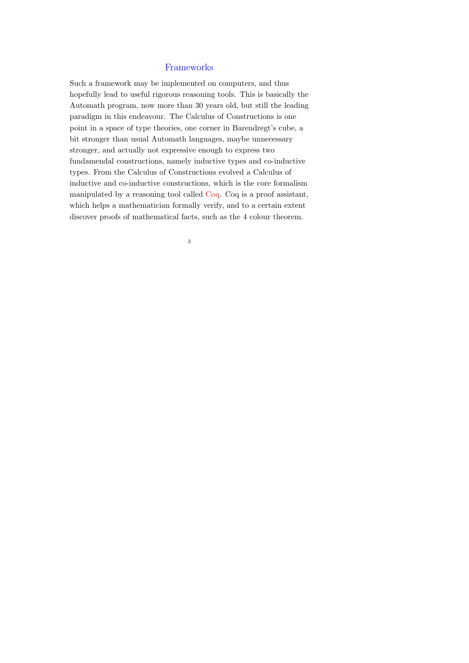#### Frameworks

Such a framework may be implemented on computers, and thus hopefully lead to useful rigorous reasoning tools. This is basically the Automath program, now more than 30 years old, but still the leading paradigm in this endeavour. The Calculus of Constructions is one point in a space of type theories, one corner in Barendregt's cube, a bit stronger than usual Automath languages, maybe unnecessary stronger, and actually not expressive enough to express two fundamendal constructions, namely inductive types and co-inductive types. From the Calculus of Constructions evolved a Calculus of inductive and co-inductive constructions, which is the core formalism manipulated by a reasoning tool called Coq. Coq is a proof assistant, which helps a mathematician formally verify, and to a certain extent discover proofs of mathematical facts, such as the 4 colour theorem.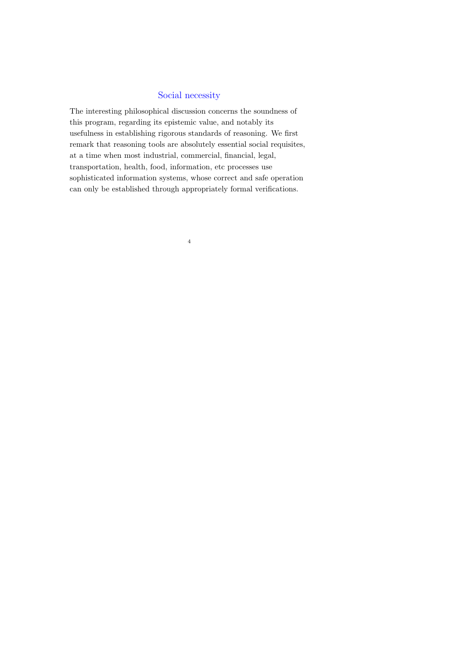### Social necessity

The interesting philosophical discussion concerns the soundness of this program, regarding its epistemic value, and notably its usefulness in establishing rigorous standards of reasoning. We first remark that reasoning tools are absolutely essential social requisites, at a time when most industrial, commercial, financial, legal, transportation, health, food, information, etc processes use sophisticated information systems, whose correct and safe operation can only be established through appropriately formal verifications.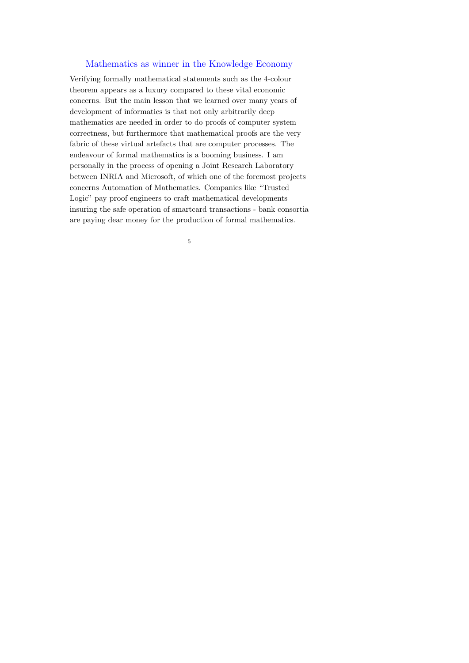#### Mathematics as winner in the Knowledge Economy

Verifying formally mathematical statements such as the 4-colour theorem appears as a luxury compared to these vital economic concerns. But the main lesson that we learned over many years of development of informatics is that not only arbitrarily deep mathematics are needed in order to do proofs of computer system correctness, but furthermore that mathematical proofs are the very fabric of these virtual artefacts that are computer processes. The endeavour of formal mathematics is a booming business. I am personally in the process of opening a Joint Research Laboratory between INRIA and Microsoft, of which one of the foremost projects concerns Automation of Mathematics. Companies like "Trusted Logic" pay proof engineers to craft mathematical developments insuring the safe operation of smartcard transactions - bank consortia are paying dear money for the production of formal mathematics.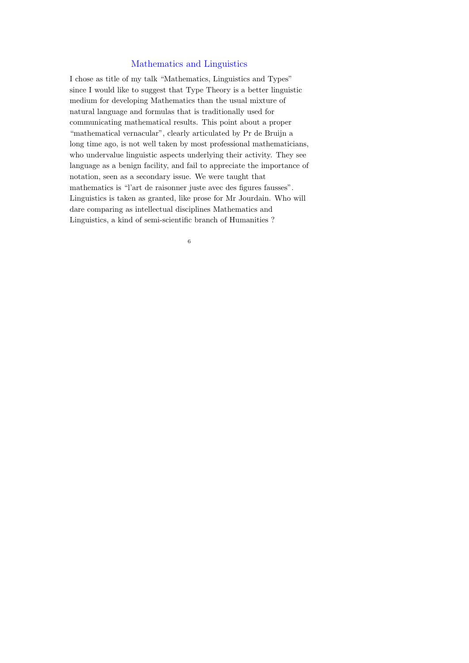#### Mathematics and Linguistics

I chose as title of my talk "Mathematics, Linguistics and Types" since I would like to suggest that Type Theory is a better linguistic medium for developing Mathematics than the usual mixture of natural language and formulas that is traditionally used for communicating mathematical results. This point about a proper "mathematical vernacular", clearly articulated by Pr de Bruijn a long time ago, is not well taken by most professional mathematicians, who undervalue linguistic aspects underlying their activity. They see language as a benign facility, and fail to appreciate the importance of notation, seen as a secondary issue. We were taught that mathematics is "l'art de raisonner juste avec des figures fausses". Linguistics is taken as granted, like prose for Mr Jourdain. Who will dare comparing as intellectual disciplines Mathematics and Linguistics, a kind of semi-scientific branch of Humanities ?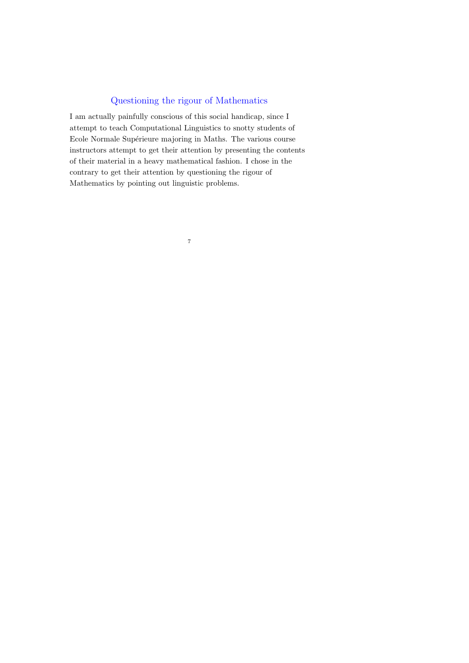## Questioning the rigour of Mathematics

I am actually painfully conscious of this social handicap, since I attempt to teach Computational Linguistics to snotty students of Ecole Normale Supérieure majoring in Maths. The various course instructors attempt to get their attention by presenting the contents of their material in a heavy mathematical fashion. I chose in the contrary to get their attention by questioning the rigour of Mathematics by pointing out linguistic problems.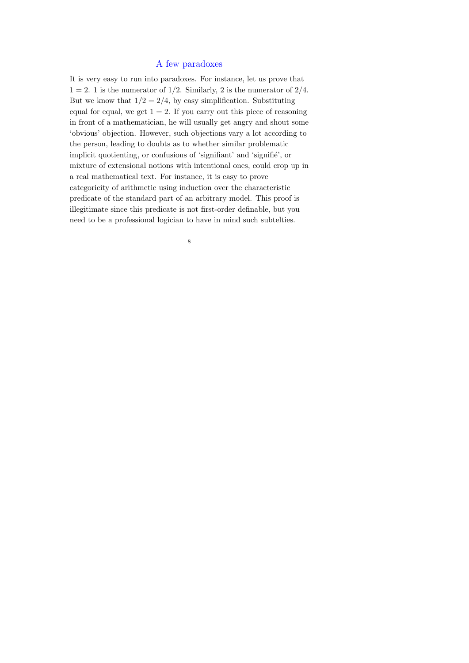#### A few paradoxes

It is very easy to run into paradoxes. For instance, let us prove that  $1 = 2$ . 1 is the numerator of  $1/2$ . Similarly, 2 is the numerator of  $2/4$ . But we know that  $1/2 = 2/4$ , by easy simplification. Substituting equal for equal, we get  $1 = 2$ . If you carry out this piece of reasoning in front of a mathematician, he will usually get angry and shout some 'obvious' objection. However, such objections vary a lot according to the person, leading to doubts as to whether similar problematic implicit quotienting, or confusions of 'signifiant' and 'signifié', or mixture of extensional notions with intentional ones, could crop up in a real mathematical text. For instance, it is easy to prove categoricity of arithmetic using induction over the characteristic predicate of the standard part of an arbitrary model. This proof is illegitimate since this predicate is not first-order definable, but you need to be a professional logician to have in mind such subtelties.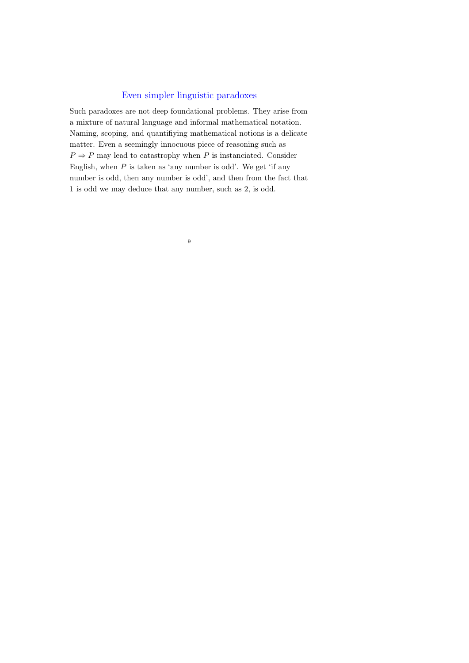#### Even simpler linguistic paradoxes

Such paradoxes are not deep foundational problems. They arise from a mixture of natural language and informal mathematical notation. Naming, scoping, and quantifiying mathematical notions is a delicate matter. Even a seemingly innocuous piece of reasoning such as  $P \Rightarrow P$  may lead to catastrophy when  $P$  is instanciated. Consider English, when  $P$  is taken as 'any number is odd'. We get 'if any number is odd, then any number is odd', and then from the fact that 1 is odd we may deduce that any number, such as 2, is odd.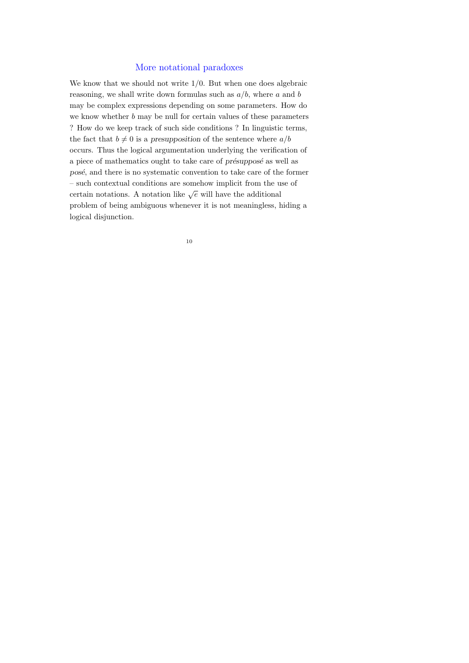#### More notational paradoxes

We know that we should not write  $1/0$ . But when one does algebraic reasoning, we shall write down formulas such as  $a/b$ , where a and b may be complex expressions depending on some parameters. How do we know whether  $b$  may be null for certain values of these parameters ? How do we keep track of such side conditions ? In linguistic terms, the fact that  $b \neq 0$  is a presupposition of the sentence where  $a/b$ occurs. Thus the logical argumentation underlying the verification of a piece of mathematics ought to take care of *présupposé* as well as posé, and there is no systematic convention to take care of the former – such contextual conditions are somehow implicit from the use of certain notations. A notation like  $\sqrt{e}$  will have the additional problem of being ambiguous whenever it is not meaningless, hiding a logical disjunction.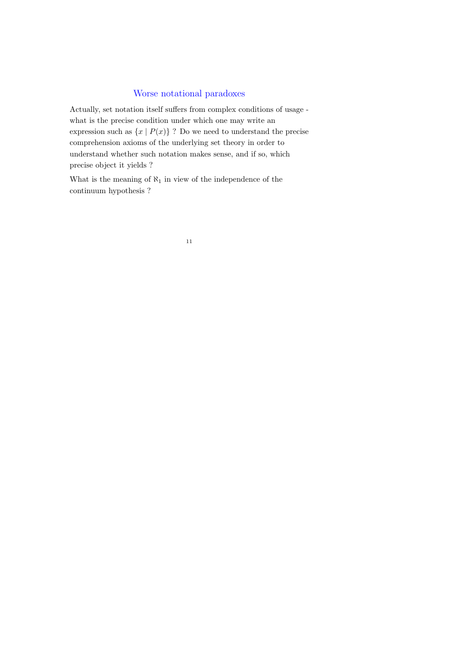#### Worse notational paradoxes

Actually, set notation itself suffers from complex conditions of usage what is the precise condition under which one may write an expression such as  $\{x \mid P(x)\}$ ? Do we need to understand the precise comprehension axioms of the underlying set theory in order to understand whether such notation makes sense, and if so, which precise object it yields ?

What is the meaning of  $\aleph_1$  in view of the independence of the continuum hypothesis ?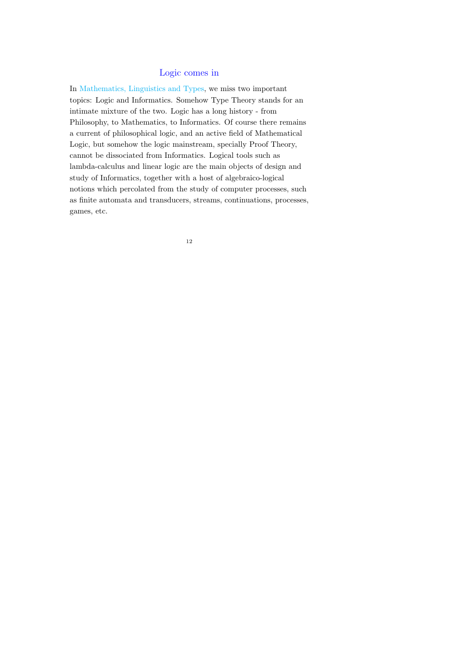#### Logic comes in

In Mathematics, Linguistics and Types, we miss two important topics: Logic and Informatics. Somehow Type Theory stands for an intimate mixture of the two. Logic has a long history - from Philosophy, to Mathematics, to Informatics. Of course there remains a current of philosophical logic, and an active field of Mathematical Logic, but somehow the logic mainstream, specially Proof Theory, cannot be dissociated from Informatics. Logical tools such as lambda-calculus and linear logic are the main objects of design and study of Informatics, together with a host of algebraico-logical notions which percolated from the study of computer processes, such as finite automata and transducers, streams, continuations, processes, games, etc.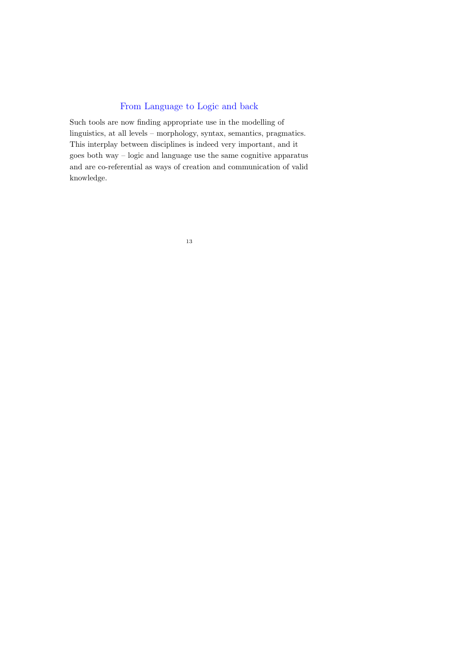## From Language to Logic and back

Such tools are now finding appropriate use in the modelling of linguistics, at all levels – morphology, syntax, semantics, pragmatics. This interplay between disciplines is indeed very important, and it goes both way – logic and language use the same cognitive apparatus and are co-referential as ways of creation and communication of valid knowledge.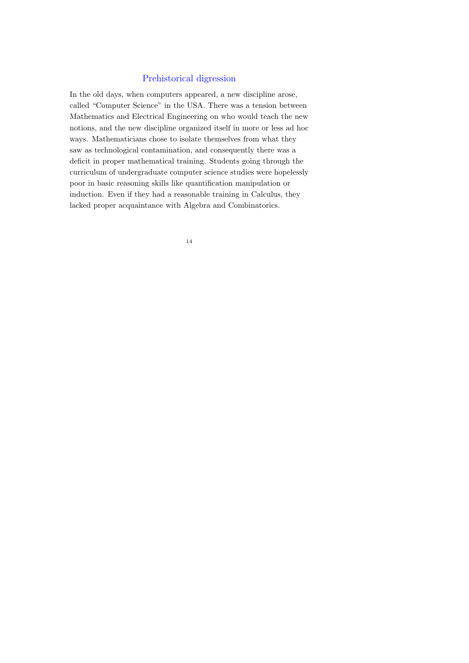### Prehistorical digression

In the old days, when computers appeared, a new discipline arose, called "Computer Science" in the USA. There was a tension between Mathematics and Electrical Engineering on who would teach the new notions, and the new discipline organized itself in more or less ad hoc ways. Mathematicians chose to isolate themselves from what they saw as technological contamination, and consequently there was a deficit in proper mathematical training. Students going through the curriculum of undergraduate computer science studies were hopelessly poor in basic reasoning skills like quantification manipulation or induction. Even if they had a reasonable training in Calculus, they lacked proper acquaintance with Algebra and Combinatorics.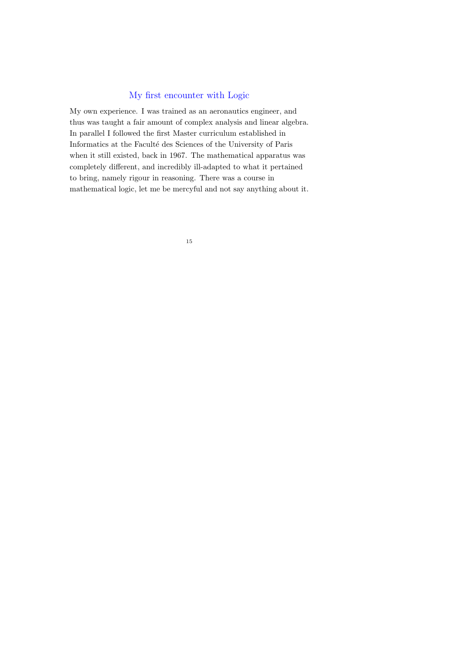#### My first encounter with Logic

My own experience. I was trained as an aeronautics engineer, and thus was taught a fair amount of complex analysis and linear algebra. In parallel I followed the first Master curriculum established in Informatics at the Faculté des Sciences of the University of Paris when it still existed, back in 1967. The mathematical apparatus was completely different, and incredibly ill-adapted to what it pertained to bring, namely rigour in reasoning. There was a course in mathematical logic, let me be mercyful and not say anything about it.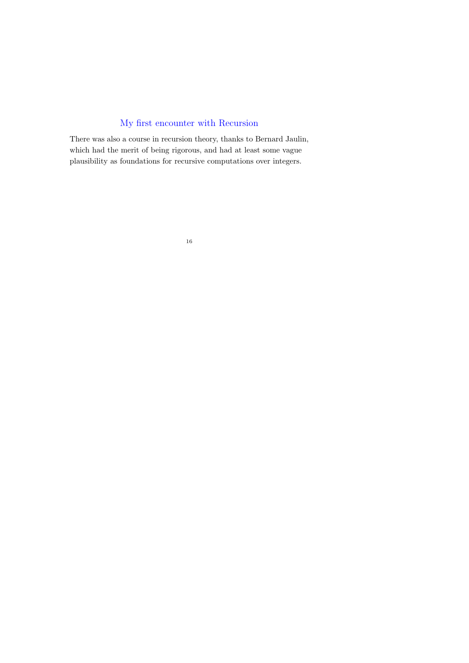## My first encounter with Recursion

There was also a course in recursion theory, thanks to Bernard Jaulin, which had the merit of being rigorous, and had at least some vague plausibility as foundations for recursive computations over integers.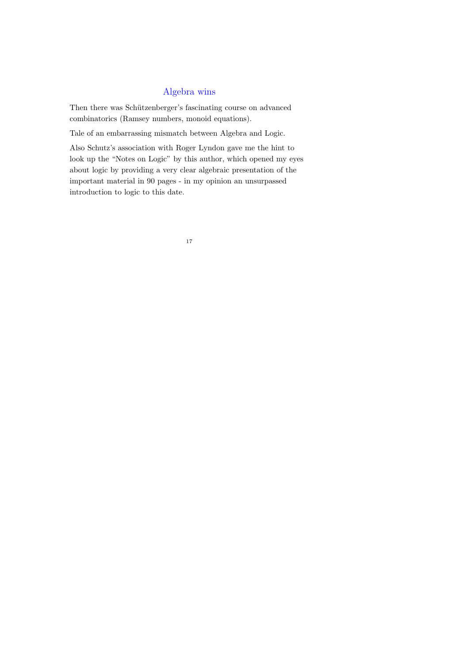## Algebra wins

Then there was Schützenberger's fascinating course on advanced combinatorics (Ramsey numbers, monoid equations).

Tale of an embarrassing mismatch between Algebra and Logic.

Also Schutz's association with Roger Lyndon gave me the hint to look up the "Notes on Logic" by this author, which opened my eyes about logic by providing a very clear algebraic presentation of the important material in 90 pages - in my opinion an unsurpassed introduction to logic to this date.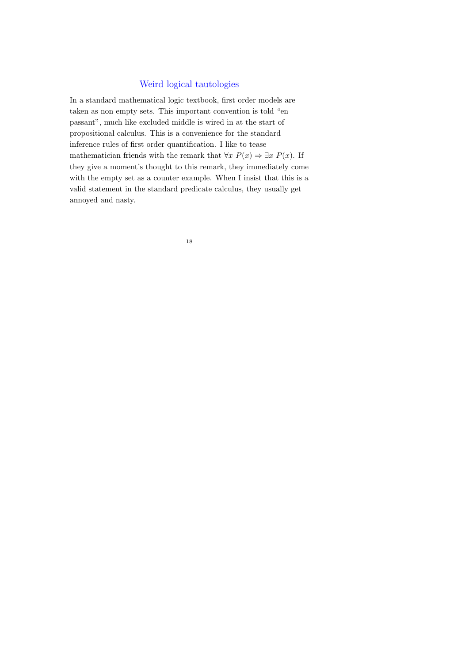#### Weird logical tautologies

In a standard mathematical logic textbook, first order models are taken as non empty sets. This important convention is told "en passant", much like excluded middle is wired in at the start of propositional calculus. This is a convenience for the standard inference rules of first order quantification. I like to tease mathematician friends with the remark that  $\forall x P(x) \Rightarrow \exists x P(x)$ . If they give a moment's thought to this remark, they immediately come with the empty set as a counter example. When I insist that this is a valid statement in the standard predicate calculus, they usually get annoyed and nasty.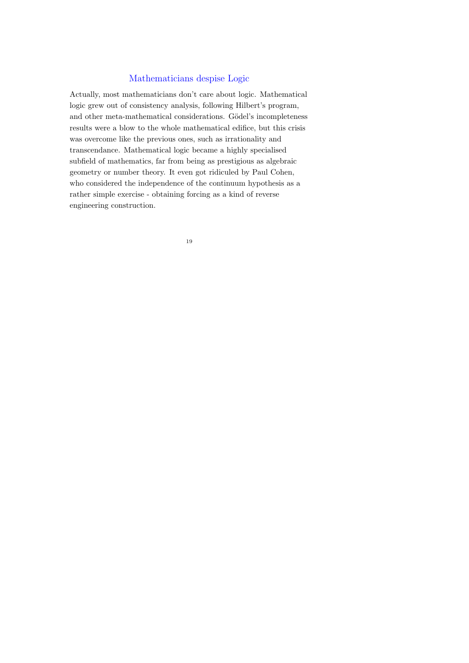#### Mathematicians despise Logic

Actually, most mathematicians don't care about logic. Mathematical logic grew out of consistency analysis, following Hilbert's program, and other meta-mathematical considerations. Gödel's incompleteness results were a blow to the whole mathematical edifice, but this crisis was overcome like the previous ones, such as irrationality and transcendance. Mathematical logic became a highly specialised subfield of mathematics, far from being as prestigious as algebraic geometry or number theory. It even got ridiculed by Paul Cohen, who considered the independence of the continuum hypothesis as a rather simple exercise - obtaining forcing as a kind of reverse engineering construction.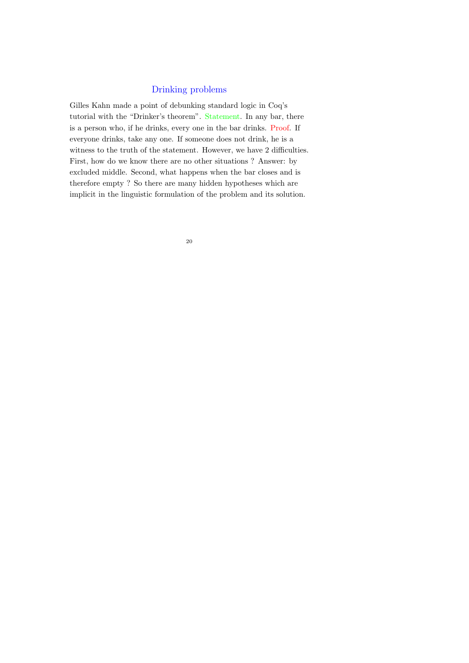#### Drinking problems

Gilles Kahn made a point of debunking standard logic in Coq's tutorial with the "Drinker's theorem". Statement. In any bar, there is a person who, if he drinks, every one in the bar drinks. Proof. If everyone drinks, take any one. If someone does not drink, he is a witness to the truth of the statement. However, we have 2 difficulties. First, how do we know there are no other situations ? Answer: by excluded middle. Second, what happens when the bar closes and is therefore empty ? So there are many hidden hypotheses which are implicit in the linguistic formulation of the problem and its solution.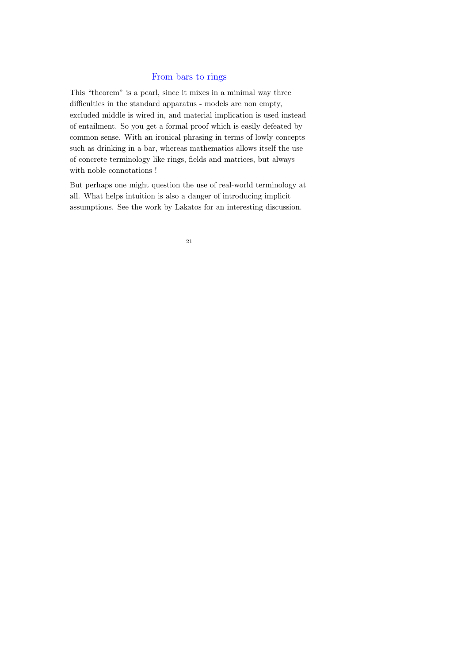### From bars to rings

This "theorem" is a pearl, since it mixes in a minimal way three difficulties in the standard apparatus - models are non empty, excluded middle is wired in, and material implication is used instead of entailment. So you get a formal proof which is easily defeated by common sense. With an ironical phrasing in terms of lowly concepts such as drinking in a bar, whereas mathematics allows itself the use of concrete terminology like rings, fields and matrices, but always with noble connotations !

But perhaps one might question the use of real-world terminology at all. What helps intuition is also a danger of introducing implicit assumptions. See the work by Lakatos for an interesting discussion.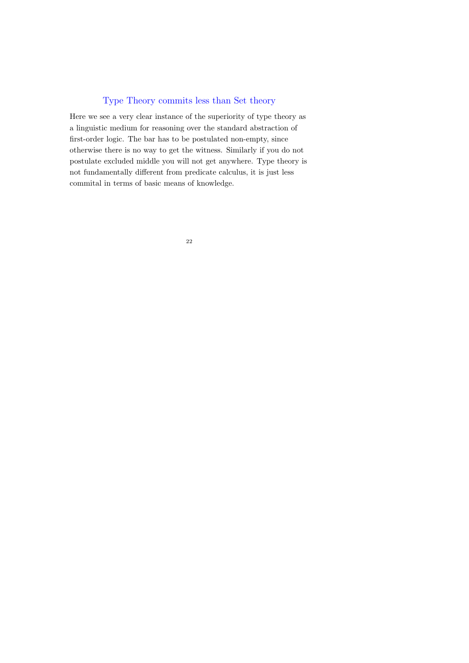### Type Theory commits less than Set theory

Here we see a very clear instance of the superiority of type theory as a linguistic medium for reasoning over the standard abstraction of first-order logic. The bar has to be postulated non-empty, since otherwise there is no way to get the witness. Similarly if you do not postulate excluded middle you will not get anywhere. Type theory is not fundamentally different from predicate calculus, it is just less commital in terms of basic means of knowledge.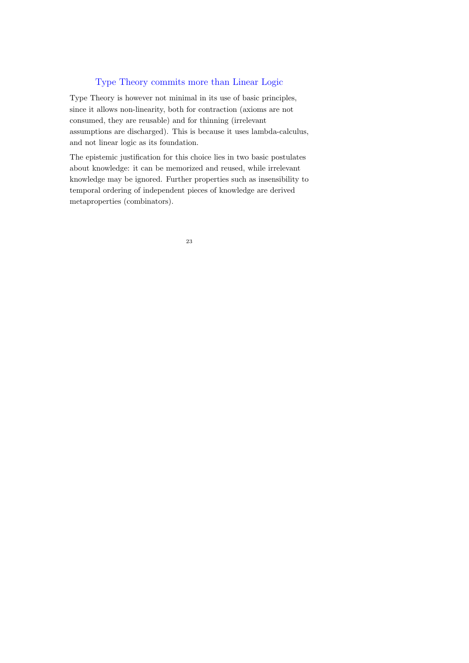### Type Theory commits more than Linear Logic

Type Theory is however not minimal in its use of basic principles, since it allows non-linearity, both for contraction (axioms are not consumed, they are reusable) and for thinning (irrelevant assumptions are discharged). This is because it uses lambda-calculus, and not linear logic as its foundation.

The epistemic justification for this choice lies in two basic postulates about knowledge: it can be memorized and reused, while irrelevant knowledge may be ignored. Further properties such as insensibility to temporal ordering of independent pieces of knowledge are derived metaproperties (combinators).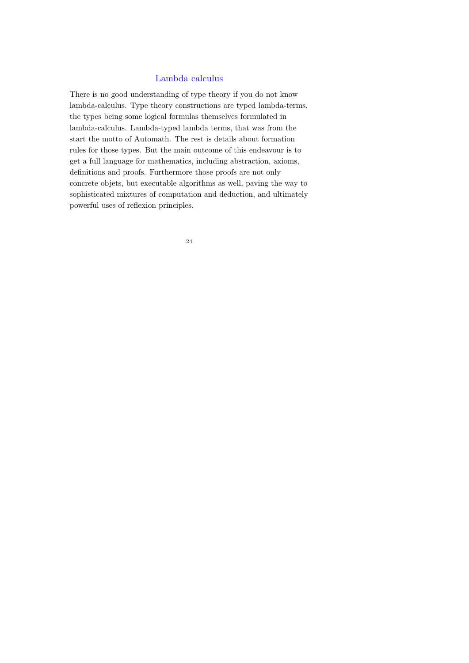#### Lambda calculus

There is no good understanding of type theory if you do not know lambda-calculus. Type theory constructions are typed lambda-terms, the types being some logical formulas themselves formulated in lambda-calculus. Lambda-typed lambda terms, that was from the start the motto of Automath. The rest is details about formation rules for those types. But the main outcome of this endeavour is to get a full language for mathematics, including abstraction, axioms, definitions and proofs. Furthermore those proofs are not only concrete objets, but executable algorithms as well, paving the way to sophisticated mixtures of computation and deduction, and ultimately powerful uses of reflexion principles.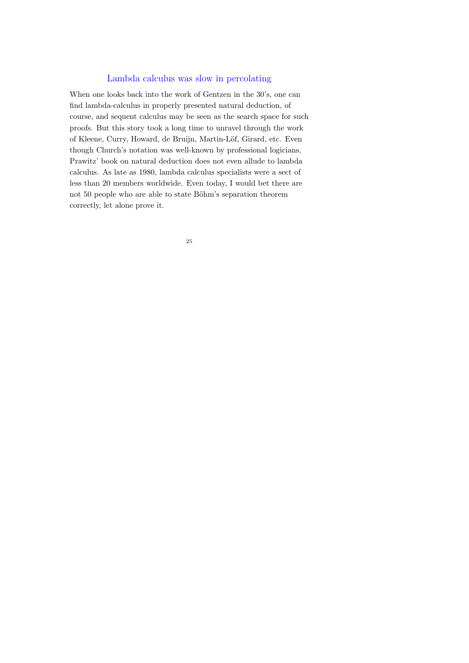#### Lambda calculus was slow in percolating

When one looks back into the work of Gentzen in the 30's, one can find lambda-calculus in properly presented natural deduction, of course, and sequent calculus may be seen as the search space for such proofs. But this story took a long time to unravel through the work of Kleene, Curry, Howard, de Bruijn, Martin-Löf, Girard, etc. Even though Church's notation was well-known by professional logicians, Prawitz' book on natural deduction does not even allude to lambda calculus. As late as 1980, lambda calculus specialists were a sect of less than 20 members worldwide. Even today, I would bet there are not 50 people who are able to state Böhm's separation theorem correctly, let alone prove it.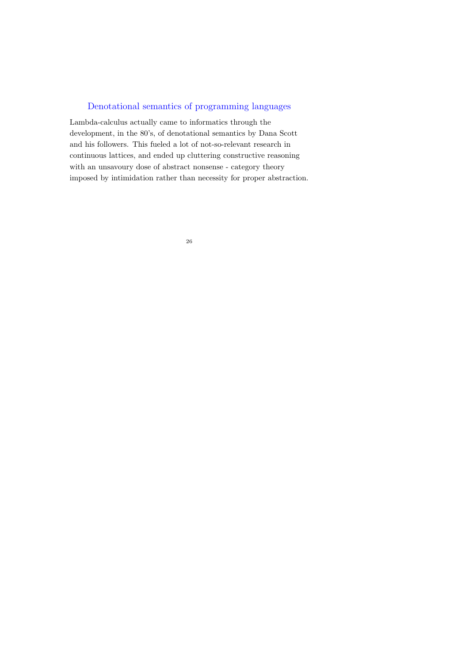## Denotational semantics of programming languages

Lambda-calculus actually came to informatics through the development, in the 80's, of denotational semantics by Dana Scott and his followers. This fueled a lot of not-so-relevant research in continuous lattices, and ended up cluttering constructive reasoning with an unsavoury dose of abstract nonsense - category theory imposed by intimidation rather than necessity for proper abstraction.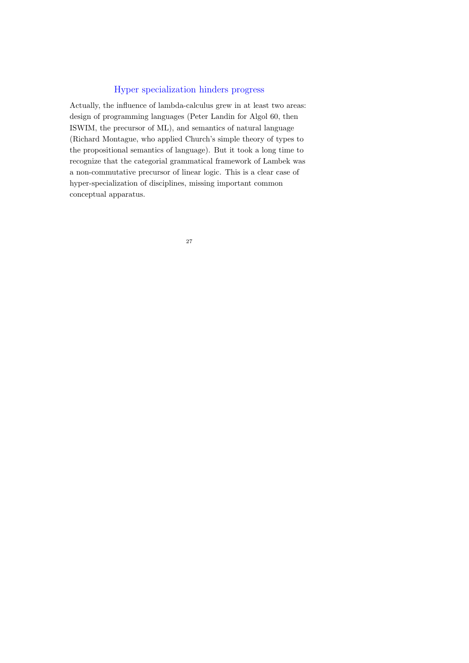### Hyper specialization hinders progress

Actually, the influence of lambda-calculus grew in at least two areas: design of programming languages (Peter Landin for Algol 60, then ISWIM, the precursor of ML), and semantics of natural language (Richard Montague, who applied Church's simple theory of types to the propositional semantics of language). But it took a long time to recognize that the categorial grammatical framework of Lambek was a non-commutative precursor of linear logic. This is a clear case of hyper-specialization of disciplines, missing important common conceptual apparatus.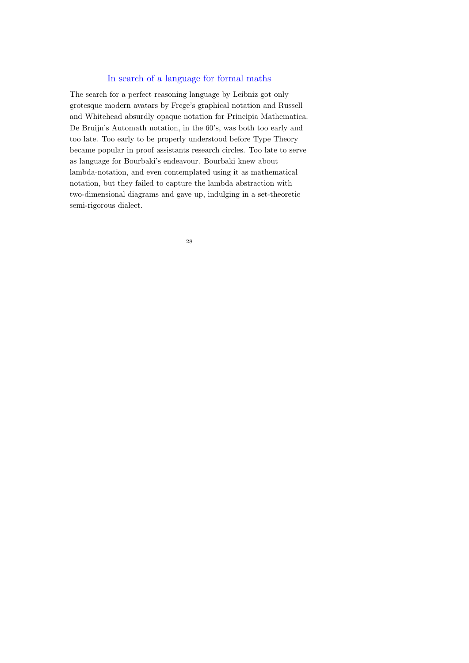#### In search of a language for formal maths

The search for a perfect reasoning language by Leibniz got only grotesque modern avatars by Frege's graphical notation and Russell and Whitehead absurdly opaque notation for Principia Mathematica. De Bruijn's Automath notation, in the 60's, was both too early and too late. Too early to be properly understood before Type Theory became popular in proof assistants research circles. Too late to serve as language for Bourbaki's endeavour. Bourbaki knew about lambda-notation, and even contemplated using it as mathematical notation, but they failed to capture the lambda abstraction with two-dimensional diagrams and gave up, indulging in a set-theoretic semi-rigorous dialect.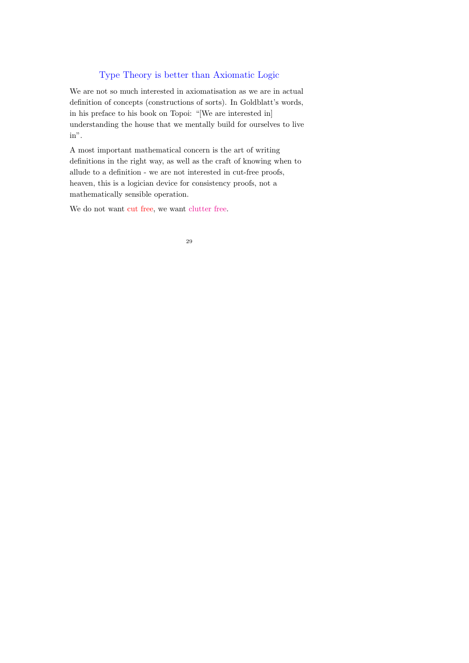## Type Theory is better than Axiomatic Logic

We are not so much interested in axiomatisation as we are in actual definition of concepts (constructions of sorts). In Goldblatt's words, in his preface to his book on Topoi: "[We are interested in] understanding the house that we mentally build for ourselves to live in".

A most important mathematical concern is the art of writing definitions in the right way, as well as the craft of knowing when to allude to a definition - we are not interested in cut-free proofs, heaven, this is a logician device for consistency proofs, not a mathematically sensible operation.

We do not want cut free, we want clutter free.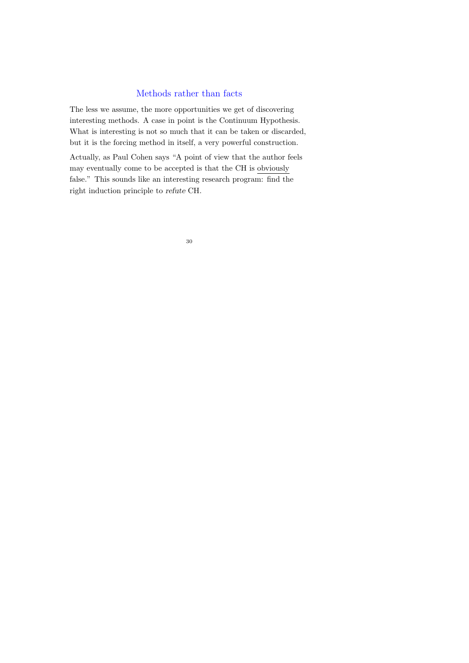#### Methods rather than facts

The less we assume, the more opportunities we get of discovering interesting methods. A case in point is the Continuum Hypothesis. What is interesting is not so much that it can be taken or discarded, but it is the forcing method in itself, a very powerful construction.

Actually, as Paul Cohen says "A point of view that the author feels may eventually come to be accepted is that the CH is obviously false." This sounds like an interesting research program: find the right induction principle to refute CH.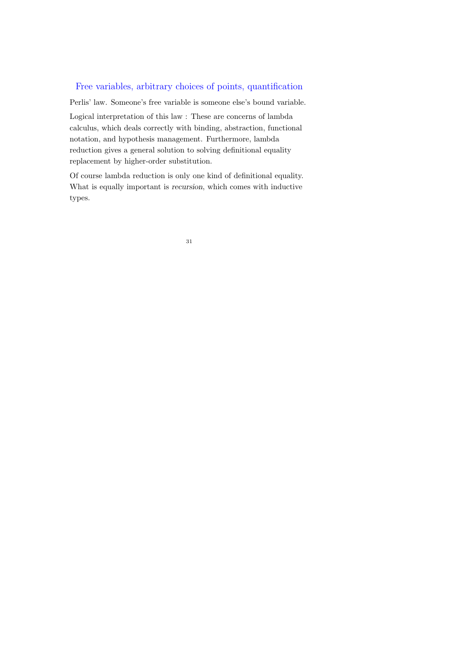## Free variables, arbitrary choices of points, quantification

Perlis' law. Someone's free variable is someone else's bound variable.

Logical interpretation of this law : These are concerns of lambda calculus, which deals correctly with binding, abstraction, functional notation, and hypothesis management. Furthermore, lambda reduction gives a general solution to solving definitional equality replacement by higher-order substitution.

Of course lambda reduction is only one kind of definitional equality. What is equally important is recursion, which comes with inductive types.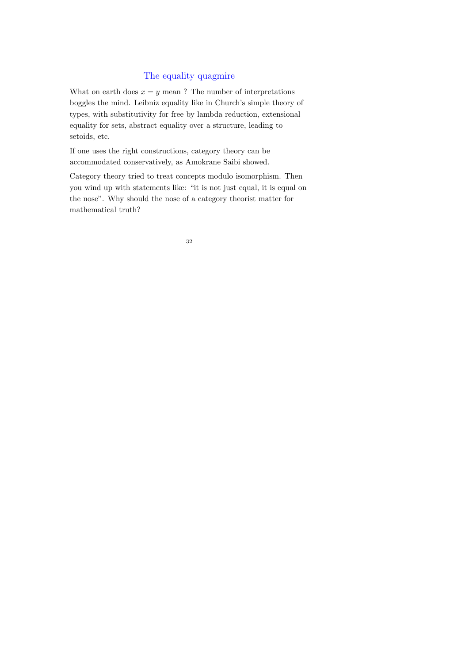## The equality quagmire

What on earth does  $x = y$  mean? The number of interpretations boggles the mind. Leibniz equality like in Church's simple theory of types, with substitutivity for free by lambda reduction, extensional equality for sets, abstract equality over a structure, leading to setoids, etc.

If one uses the right constructions, category theory can be accommodated conservatively, as Amokrane Saibi showed.

Category theory tried to treat concepts modulo isomorphism. Then you wind up with statements like: "it is not just equal, it is equal on the nose". Why should the nose of a category theorist matter for mathematical truth?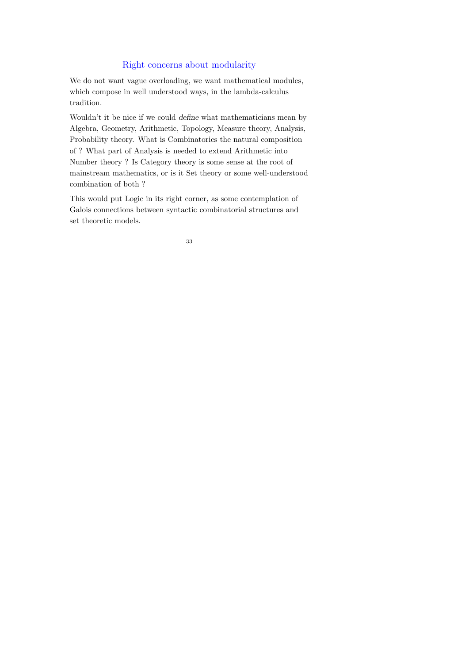### Right concerns about modularity

We do not want vague overloading, we want mathematical modules, which compose in well understood ways, in the lambda-calculus tradition.

Wouldn't it be nice if we could define what mathematicians mean by Algebra, Geometry, Arithmetic, Topology, Measure theory, Analysis, Probability theory. What is Combinatorics the natural composition of ? What part of Analysis is needed to extend Arithmetic into Number theory ? Is Category theory is some sense at the root of mainstream mathematics, or is it Set theory or some well-understood combination of both ?

This would put Logic in its right corner, as some contemplation of Galois connections between syntactic combinatorial structures and set theoretic models.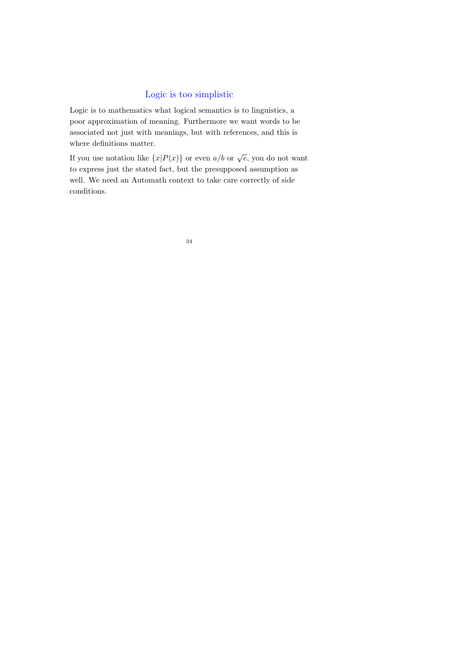## Logic is too simplistic

Logic is to mathematics what logical semantics is to linguistics, a poor approximation of meaning. Furthermore we want words to be associated not just with meanings, but with references, and this is where definitions matter.

If you use notation like  ${x|P(x)}$  or even  $a/b$  or  $\sqrt{e}$ , you do not want to express just the stated fact, but the presupposed assumption as well. We need an Automath context to take care correctly of side conditions.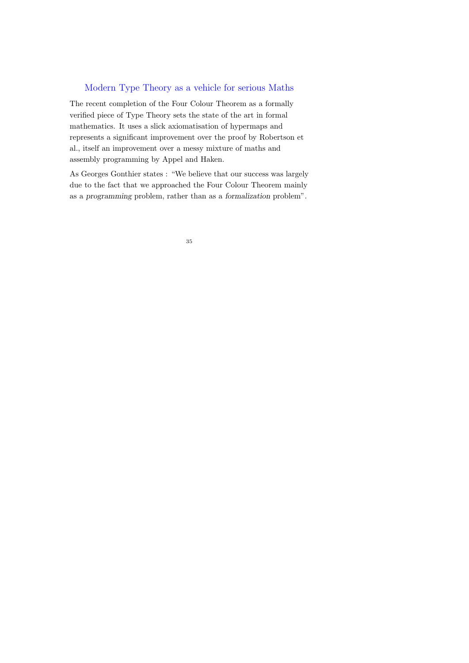#### Modern Type Theory as a vehicle for serious Maths

The recent completion of the Four Colour Theorem as a formally verified piece of Type Theory sets the state of the art in formal mathematics. It uses a slick axiomatisation of hypermaps and represents a significant improvement over the proof by Robertson et al., itself an improvement over a messy mixture of maths and assembly programming by Appel and Haken.

As Georges Gonthier states : "We believe that our success was largely due to the fact that we approached the Four Colour Theorem mainly as a programming problem, rather than as a formalization problem".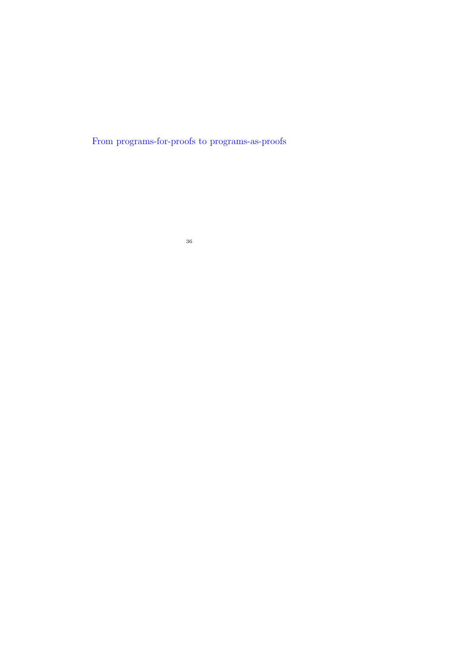From programs-for-proofs to programs-as-proofs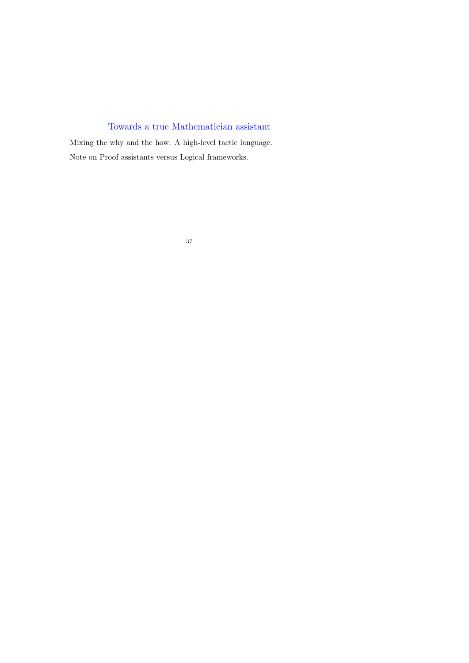# Towards a true Mathematician assistant

Mixing the why and the how. A high-level tactic language. Note on Proof assistants versus Logical frameworks.